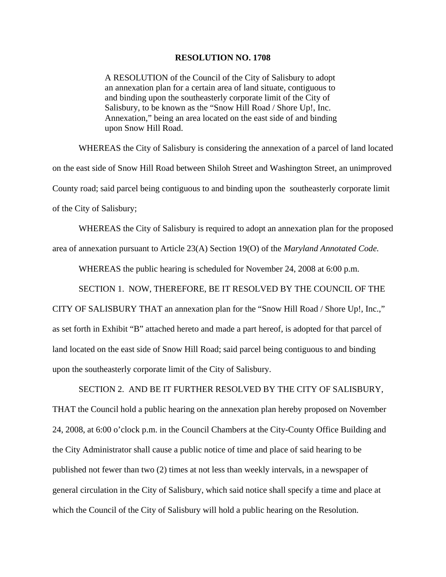## **RESOLUTION NO. 1708**

A RESOLUTION of the Council of the City of Salisbury to adopt an annexation plan for a certain area of land situate, contiguous to and binding upon the southeasterly corporate limit of the City of Salisbury, to be known as the "Snow Hill Road / Shore Up!, Inc. Annexation," being an area located on the east side of and binding upon Snow Hill Road.

 WHEREAS the City of Salisbury is considering the annexation of a parcel of land located on the east side of Snow Hill Road between Shiloh Street and Washington Street, an unimproved County road; said parcel being contiguous to and binding upon the southeasterly corporate limit of the City of Salisbury;

 WHEREAS the City of Salisbury is required to adopt an annexation plan for the proposed area of annexation pursuant to Article 23(A) Section 19(O) of the *Maryland Annotated Code.*

WHEREAS the public hearing is scheduled for November 24, 2008 at 6:00 p.m.

SECTION 1. NOW, THEREFORE, BE IT RESOLVED BY THE COUNCIL OF THE

CITY OF SALISBURY THAT an annexation plan for the "Snow Hill Road / Shore Up!, Inc.," as set forth in Exhibit "B" attached hereto and made a part hereof, is adopted for that parcel of land located on the east side of Snow Hill Road; said parcel being contiguous to and binding upon the southeasterly corporate limit of the City of Salisbury.

 SECTION 2. AND BE IT FURTHER RESOLVED BY THE CITY OF SALISBURY, THAT the Council hold a public hearing on the annexation plan hereby proposed on November 24, 2008, at 6:00 o'clock p.m. in the Council Chambers at the City-County Office Building and the City Administrator shall cause a public notice of time and place of said hearing to be published not fewer than two (2) times at not less than weekly intervals, in a newspaper of general circulation in the City of Salisbury, which said notice shall specify a time and place at which the Council of the City of Salisbury will hold a public hearing on the Resolution.